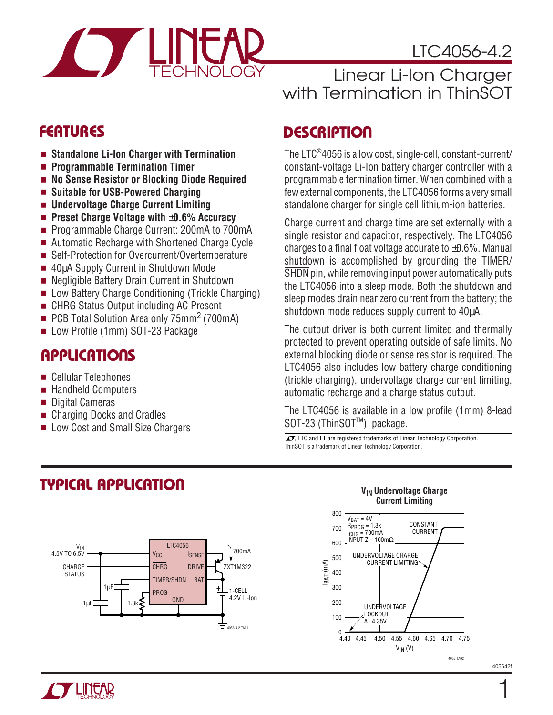

# LTC4056-4.2

# Linear Li-Ion Charger with Termination in ThinSOT

- **Standalone Li-Ion Charger with Termination**
- **Programmable Termination Timer**
- No Sense Resistor or Blocking Diode Required
- **Suitable for USB-Powered Charging**
- **Undervoltage Charge Current Limiting**
- **Preset Charge Voltage with** ±**0.6% Accuracy**
- Programmable Charge Current: 200mA to 700mA
- Automatic Recharge with Shortened Charge Cycle
- Self-Protection for Overcurrent/Overtemperature
- 40µA Supply Current in Shutdown Mode
- Negligible Battery Drain Current in Shutdown
- Low Battery Charge Conditioning (Trickle Charging)
- CHRG Status Output including AC Present
- PCB Total Solution Area only 75mm<sup>2</sup> (700mA)
- Low Profile (1mm) SOT-23 Package

# **APPLICATIONS**

- Cellular Telephones
- Handheld Computers
- Digital Cameras
- Charging Docks and Cradles
- Low Cost and Small Size Chargers

# **DESCRIPTIO <sup>U</sup> FEATURES**

The LTC® 4056 is a low cost, single-cell, constant-current/ constant-voltage Li-Ion battery charger controller with a programmable termination timer. When combined with a few external components, the LTC4056 forms a very small standalone charger for single cell lithium-ion batteries.

Charge current and charge time are set externally with a single resistor and capacitor, respectively. The LTC4056 charges to a final float voltage accurate to  $\pm 0.6$ %. Manual shutdown is accomplished by grounding the TIMER/ SHDN pin, while removing input power automatically puts the LTC4056 into a sleep mode. Both the shutdown and sleep modes drain near zero current from the battery; the shutdown mode reduces supply current to 40 $\mu$ A.

The output driver is both current limited and thermally protected to prevent operating outside of safe limits. No external blocking diode or sense resistor is required. The LTC4056 also includes low battery charge conditioning (trickle charging), undervoltage charge current limiting, automatic recharge and a charge status output.

The LTC4056 is available in a low profile (1mm) 8-lead SOT-23 (ThinSOT<sup>™</sup>) package.

 $\sqrt{J}$ , LTC and LT are registered trademarks of Linear Technology Corporation. ThinSOT is a trademark of Linear Technology Corporation.

# **TYPICAL APPLICATIO U**



#### **VIN Undervoltage Charge Current Limiting**



405642f

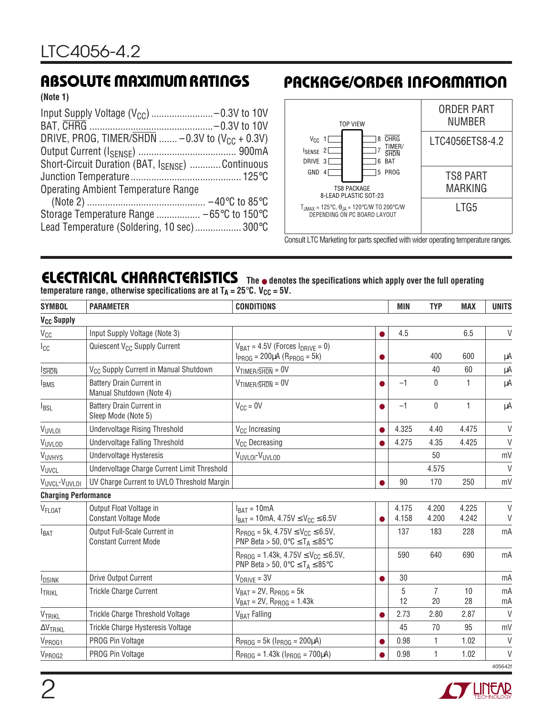**(Note 1)**

| DRIVE, PROG, TIMER/SHDN  - 0.3V to $(V_{CC} + 0.3V)$ |  |
|------------------------------------------------------|--|
|                                                      |  |
| Short-Circuit Duration (BAT, ISENSE)  Continuous     |  |
|                                                      |  |
| <b>Operating Ambient Temperature Range</b>           |  |
|                                                      |  |
|                                                      |  |
| Lead Temperature (Soldering, 10 sec) 300°C           |  |

# **ABSOLUTE MAXIMUM RATINGS PACKAGE/ORDER INFORMATION**



Consult LTC Marketing for parts specified with wider operating temperature ranges.

#### **ELECTRICAL CHARACTERISTICS The** ● **denotes the specifications which apply over the full operating temperature range, otherwise specifications are at**  $T_A = 25^\circ \text{C}$ **. V<sub>CC</sub> = 5V.**

| <b>SYMBOL</b>                | <b>PARAMETER</b>                                             | <b>CONDITIONS</b>                                                                                                                      |           | <b>MIN</b>     | <b>TYP</b>           | <b>MAX</b>     | <b>UNITS</b> |
|------------------------------|--------------------------------------------------------------|----------------------------------------------------------------------------------------------------------------------------------------|-----------|----------------|----------------------|----------------|--------------|
| <b>V<sub>CC</sub></b> Supply |                                                              |                                                                                                                                        |           |                |                      |                |              |
| $V_{CC}$                     | Input Supply Voltage (Note 3)                                |                                                                                                                                        |           | 4.5            |                      | 6.5            | $\vee$       |
| Icc                          | Quiescent V <sub>CC</sub> Supply Current                     | $V_{BAT} = 4.5V$ (Forces $I_{DRIVE} = 0$ )<br>$I_{PROG} = 200 \mu A (R_{PROG} = 5k)$                                                   |           |                | 400                  | 600            | μA           |
| <b>I</b> SHDN                | V <sub>CC</sub> Supply Current in Manual Shutdown            | $V_{\text{TIMER}/\overline{\text{SHDN}}} = 0 V$                                                                                        |           |                | 40                   | 60             | μA           |
| <b>IBMS</b>                  | <b>Battery Drain Current in</b><br>Manual Shutdown (Note 4)  | $V_{\text{TIMER}/\overline{\text{SHDN}}} = 0 V$                                                                                        | $\bullet$ | $-1$           | $\mathbf{0}$         | 1              | μA           |
| <b>I</b> BSL                 | <b>Battery Drain Current in</b><br>Sleep Mode (Note 5)       | $V_{CC} = 0V$                                                                                                                          | $\bullet$ | $-1$           | 0                    | $\mathbf{1}$   | μA           |
| VUVLOI                       | <b>Undervoltage Rising Threshold</b>                         | V <sub>CC</sub> Increasing                                                                                                             | ●         | 4.325          | 4.40                 | 4.475          | V            |
| VUVLOD                       | Undervoltage Falling Threshold                               | V <sub>CC</sub> Decreasing                                                                                                             |           | 4.275          | 4.35                 | 4.425          | $\vee$       |
| VUVHYS                       | <b>Undervoltage Hysteresis</b>                               | VUVLOI <sup>-V</sup> UVLOD                                                                                                             |           |                | 50                   |                | mV           |
| <b>VUVCL</b>                 | Undervoltage Charge Current Limit Threshold                  |                                                                                                                                        |           |                | 4.575                |                | $\vee$       |
| VUVCL-VUVLOI                 | UV Charge Current to UVLO Threshold Margin                   |                                                                                                                                        |           | 90             | 170                  | 250            | mV           |
| <b>Charging Performance</b>  |                                                              |                                                                                                                                        |           |                |                      |                |              |
| V <sub>FLOAT</sub>           | Output Float Voltage in<br><b>Constant Voltage Mode</b>      | $I_{\text{BAT}} = 10 \text{mA}$<br>$I_{BAT} = 10mA, 4.75V \leq V_{CC} \leq 6.5V$                                                       | 0         | 4.175<br>4.158 | 4.200<br>4.200       | 4.225<br>4.242 | $\vee$<br>V  |
| $I_{BAT}$                    | Output Full-Scale Current in<br><b>Constant Current Mode</b> | $R_{PROG}$ = 5k, 4.75V $\leq$ V <sub>CC</sub> $\leq$ 6.5V,<br>PNP Beta > 50, 0 $\degree$ C $\leq$ T <sub>A</sub> $\leq$ 85 $\degree$ C |           | 137            | 183                  | 228            | mA           |
|                              |                                                              | $R_{PROG} = 1.43k$ , $4.75V \leq V_{CC} \leq 6.5V$ ,<br>PNP Beta > 50, 0 $\degree$ C $\leq$ T <sub>A</sub> $\leq$ 85 $\degree$ C       |           | 590            | 640                  | 690            | mA           |
| <b>IDSINK</b>                | <b>Drive Output Current</b>                                  | $V_{DRIVE} = 3V$                                                                                                                       | $\bullet$ | 30             |                      |                | mA           |
| <b>ITRIKL</b>                | <b>Trickle Charge Current</b>                                | $V_{BAT} = 2V$ , $R_{PROG} = 5k$<br>$V_{BAT} = 2V$ , $R_{PROG} = 1.43k$                                                                |           | 5<br>12        | $\overline{7}$<br>20 | 10<br>28       | mA<br>mA     |
| VTRIKL                       | Trickle Charge Threshold Voltage                             | V <sub>BAT</sub> Falling                                                                                                               | $\bullet$ | 2.73           | 2.80                 | 2.87           | $\vee$       |
| $\Delta V$ TRIKL             | Trickle Charge Hysteresis Voltage                            |                                                                                                                                        |           | 45             | 70                   | 95             | mV           |
| V <sub>PROG1</sub>           | PROG Pin Voltage                                             | $R_{PROG} = 5k$ ( $I_{PROG} = 200 \mu A$ )                                                                                             |           | 0.98           | 1                    | 1.02           | $\vee$       |
| V <sub>PROG2</sub>           | PROG Pin Voltage                                             | $R_{PROG} = 1.43k (I_{PROG} = 700 \mu A)$                                                                                              |           | 0.98           | 1                    | 1.02           | $\vee$       |
|                              |                                                              |                                                                                                                                        |           |                |                      |                | 405642f      |

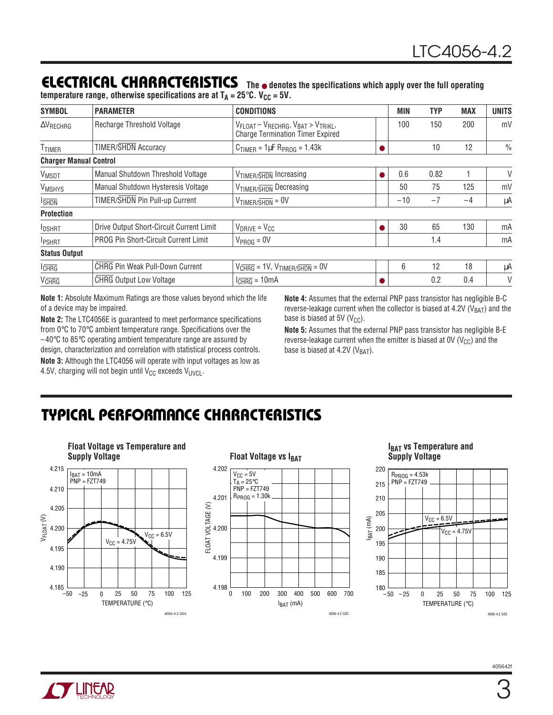#### **ELECTRICAL CHARACTERISTICS The** ● **denotes the specifications which apply over the full operating temperature range, otherwise specifications are at**  $T_A = 25^\circ \text{C}$ **. V<sub>CC</sub> = 5V.**

| <b>SYMBOL</b>                 | <b>PARAMETER</b>                         | <b>CONDITIONS</b>                                                                                                     | MIN   | TYP  | <b>MAX</b> | <b>UNITS</b>  |
|-------------------------------|------------------------------------------|-----------------------------------------------------------------------------------------------------------------------|-------|------|------------|---------------|
| $\Delta V_{RECHRG}$           | Recharge Threshold Voltage               | $V_{\text{FLOAT}} - V_{\text{RECHRG}}, V_{\text{BAT}} > V_{\text{TRIKL}},$<br><b>Charge Termination Timer Expired</b> | 100   | 150  | 200        | mV            |
| <b>TTIMER</b>                 | <b>TIMER/SHDN</b> Accuracy               | $C_{TIMER} = 1 \mu F R_{PROG} = 1.43k$                                                                                |       | 10   | 12         | $\frac{0}{0}$ |
| <b>Charger Manual Control</b> |                                          |                                                                                                                       |       |      |            |               |
| <b>VMSDT</b>                  | Manual Shutdown Threshold Voltage        | V <sub>TIMER/SHDN</sub> Increasing                                                                                    | 0.6   | 0.82 |            | V             |
| <b>VMSHYS</b>                 | Manual Shutdown Hysteresis Voltage       | V <sub>TIMER/SHDN</sub> Decreasing                                                                                    | 50    | 75   | 125        | mV            |
| <b>I</b> SHDN                 | TIMER/SHDN Pin Pull-up Current           | $V$ timer/shdn = $0V$                                                                                                 | $-10$ | $-7$ | $-4$       | μA            |
| <b>Protection</b>             |                                          |                                                                                                                       |       |      |            |               |
| <b>IDSHRT</b>                 | Drive Output Short-Circuit Current Limit | $V_{DRIVE} = V_{CC}$                                                                                                  | 30    | 65   | 130        | mA            |
| <b>IPSHRT</b>                 | PROG Pin Short-Circuit Current Limit     | $V_{PROG} = 0V$                                                                                                       |       | 1.4  |            | mA            |
| <b>Status Output</b>          |                                          |                                                                                                                       |       |      |            |               |
| $I_{CHRG}$                    | <b>CHRG Pin Weak Pull-Down Current</b>   | $V_{CHRG} = 1V$ , $V_{TIMER/SHDN} = 0V$                                                                               | 6     | 12   | 18         | μA            |
| <b>V<sub>CHRG</sub></b>       | <b>CHRG Output Low Voltage</b>           | $I_{CHRG} = 10mA$                                                                                                     |       | 0.2  | 0.4        | V             |

**Note 1:** Absolute Maximum Ratings are those values beyond which the life of a device may be impaired.

**Note 2:** The LTC4056E is guaranteed to meet performance specifications from 0°C to 70°C ambient temperature range. Specifications over the  $-40^{\circ}$ C to 85 $^{\circ}$ C operating ambient temperature range are assured by design, characterization and correlation with statistical process controls.

**Note 3:** Although the LTC4056 will operate with input voltages as low as 4.5V, charging will not begin until  $V_{CC}$  exceeds  $V_{UVC}$ .

**Note 4:** Assumes that the external PNP pass transistor has negligible B-C reverse-leakage current when the collector is biased at 4.2V ( $V<sub>BAT</sub>$ ) and the base is biased at 5V ( $V_{CC}$ ).

**Note 5:** Assumes that the external PNP pass transistor has negligible B-E reverse-leakage current when the emitter is biased at  $0V (V_{CC})$  and the base is biased at 4.2V  $(V_{BAT})$ .

# **TYPICAL PERFORMANCE CHARACTERISTICS**



#### **Float Voltage vs IBAT** 4.202  $V<sub>CC</sub> = 5V$ </u> T<sub>A</sub> = 25°C<br>PNP = FZT749  $R_{PROG} = 1.30k$ 4.201 FLOAT VOLTAGE (V) FLOAT VOLTAGE (V) 4.200 4.199 4.198 100 200 400 0 300 500 600 700

 $I<sub>BAT</sub>$  (mA)

4056-4.2 G02

#### **IBAT VS Temperature and Supply Voltage**



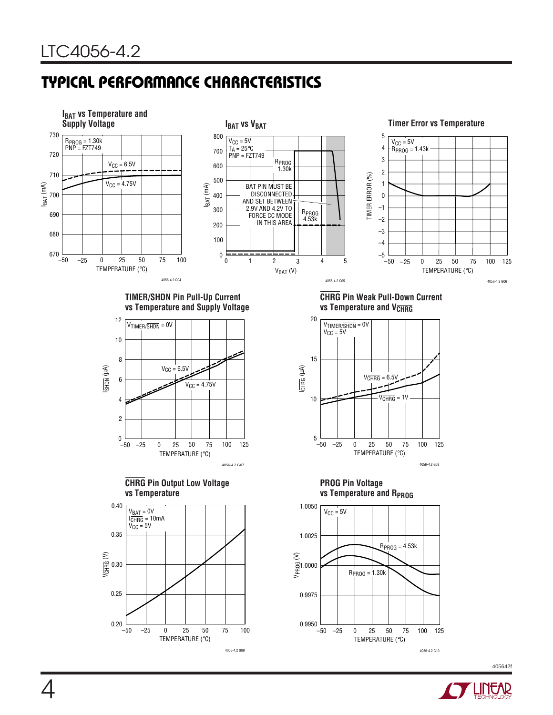# **TYPICAL PERFORMANCE CHARACTERISTICS**



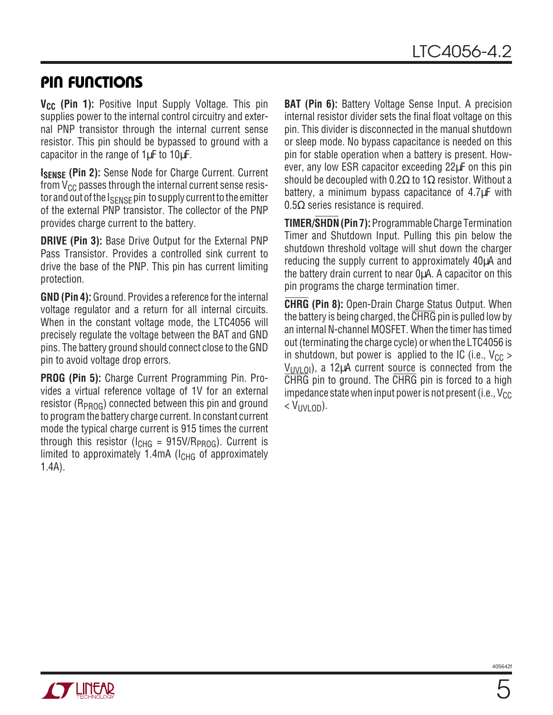## **PIN FUNCTIONS**

**V<sub>CC</sub>** (Pin 1): Positive Input Supply Voltage. This pin supplies power to the internal control circuitry and external PNP transistor through the internal current sense resistor. This pin should be bypassed to ground with a capacitor in the range of 1µF to 10µF.

**ISENSE (Pin 2):** Sense Node for Charge Current. Current from  $V_{CC}$  passes through the internal current sense resistor and out of the  $I_{\text{SFNSF}}$  pin to supply current to the emitter of the external PNP transistor. The collector of the PNP provides charge current to the battery.

**DRIVE (Pin 3):** Base Drive Output for the External PNP Pass Transistor. Provides a controlled sink current to drive the base of the PNP. This pin has current limiting protection.

**GND (Pin 4):** Ground. Provides a reference for the internal voltage regulator and a return for all internal circuits. When in the constant voltage mode, the LTC4056 will precisely regulate the voltage between the BAT and GND pins. The battery ground should connect close to the GND pin to avoid voltage drop errors.

**PROG (Pin 5):** Charge Current Programming Pin. Provides a virtual reference voltage of 1V for an external resistor ( $R_{PROG}$ ) connected between this pin and ground to program the battery charge current. In constant current mode the typical charge current is 915 times the current through this resistor ( $I_{CHG}$  = 915V/R<sub>PROG</sub>). Current is limited to approximately  $1.4$ mA ( $I<sub>CHG</sub>$  of approximately 1.4A).

**BAT (Pin 6):** Battery Voltage Sense Input. A precision internal resistor divider sets the final float voltage on this pin. This divider is disconnected in the manual shutdown or sleep mode. No bypass capacitance is needed on this pin for stable operation when a battery is present. However, any low ESR capacitor exceeding 22µF on this pin should be decoupled with 0.2 $\Omega$  to 1 $\Omega$  resistor. Without a battery, a minimum bypass capacitance of 4.7µF with 0.5Ω series resistance is required.

**TIMER/SHDN (Pin 7):** Programmable Charge Termination Timer and Shutdown Input. Pulling this pin below the shutdown threshold voltage will shut down the charger reducing the supply current to approximately 40µA and the battery drain current to near 0µA. A capacitor on this pin programs the charge termination timer.

**CHRG (Pin 8):** Open-Drain Charge Status Output. When the battery is being charged, the CHRG pin is pulled low by an internal N-channel MOSFET. When the timer has timed out (terminating the charge cycle) or when the LTC4056 is in shutdown, but power is applied to the IC (i.e.,  $V_{CC}$ )  $V_{UVU}$   $_{O}$ ), a 12 $\mu$ A current source is connected from the CHRG pin to ground. The CHRG pin is forced to a high impedance state when input power is not present (i.e.,  $V_{CC}$  $<$  V<sub>IIVI</sub>  $_{OD}$ ).

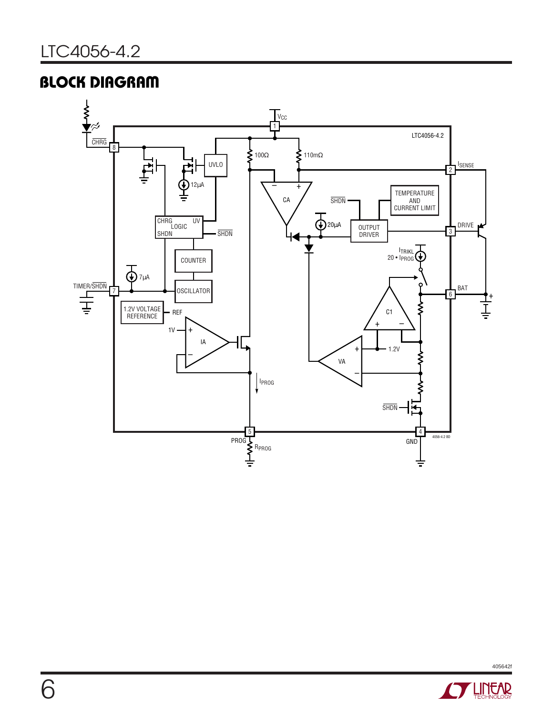# **BLOCK DIAGRAM**



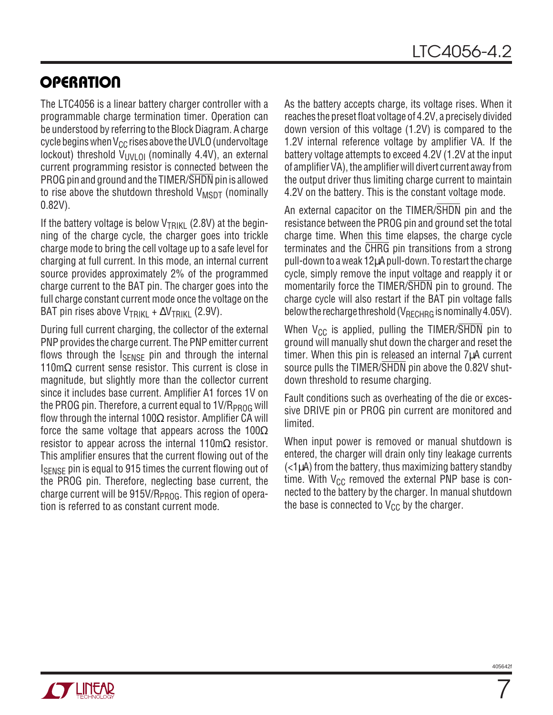# **OPERATION**

The LTC4056 is a linear battery charger controller with a programmable charge termination timer. Operation can be understood by referring to the Block Diagram. A charge cycle begins when  $V_{CC}$  rises above the UVLO (undervoltage lockout) threshold  $V_{UVLOI}$  (nominally 4.4V), an external current programming resistor is connected between the PROG pin and ground and the TIMER/SHDN pin is allowed to rise above the shutdown threshold  $V_{\text{MSDT}}$  (nominally 0.82V).

If the battery voltage is below  $V_{\text{TRI}K1}$  (2.8V) at the beginning of the charge cycle, the charger goes into trickle charge mode to bring the cell voltage up to a safe level for charging at full current. In this mode, an internal current source provides approximately 2% of the programmed charge current to the BAT pin. The charger goes into the full charge constant current mode once the voltage on the BAT pin rises above V<sub>TRIKI</sub> +  $\Delta V$ <sub>TRIKI</sub> (2.9V).

During full current charging, the collector of the external PNP provides the charge current. The PNP emitter current flows through the I<sub>SENSE</sub> pin and through the internal 110m $\Omega$  current sense resistor. This current is close in magnitude, but slightly more than the collector current since it includes base current. Amplifier A1 forces 1V on the PROG pin. Therefore, a current equal to 1V/R<sub>PROG</sub> will flow through the internal 100 $\Omega$  resistor. Amplifier CA will force the same voltage that appears across the 100 $\Omega$ resistor to appear across the internal 110m $\Omega$  resistor. This amplifier ensures that the current flowing out of the ISENSE pin is equal to 915 times the current flowing out of the PROG pin. Therefore, neglecting base current, the charge current will be  $915V/R_{PROG}$ . This region of operation is referred to as constant current mode.

As the battery accepts charge, its voltage rises. When it reaches the preset float voltage of 4.2V, a precisely divided down version of this voltage (1.2V) is compared to the 1.2V internal reference voltage by amplifier VA. If the battery voltage attempts to exceed 4.2V (1.2V at the input of amplifier VA), the amplifier will divert current away from the output driver thus limiting charge current to maintain 4.2V on the battery. This is the constant voltage mode.

An external capacitor on the TIMER/SHDN pin and the resistance between the PROG pin and ground set the total charge time. When this time elapses, the charge cycle terminates and the CHRG pin transitions from a strong pull-down to a weak 12µA pull-down. To restart the charge cycle, simply remove the input voltage and reapply it or momentarily force the TIMER/SHDN pin to ground. The charge cycle will also restart if the BAT pin voltage falls below the recharge threshold ( $V_{RFCHRG}$  is nominally 4.05V).

When  $V_{CC}$  is applied, pulling the TIMER/ $\overline{\text{SHDN}}$  pin to ground will manually shut down the charger and reset the timer. When this pin is released an internal 7µA current source pulls the TIMER/SHDN pin above the 0.82V shutdown threshold to resume charging.

Fault conditions such as overheating of the die or excessive DRIVE pin or PROG pin current are monitored and limited.

When input power is removed or manual shutdown is entered, the charger will drain only tiny leakage currents (<1µA) from the battery, thus maximizing battery standby time. With  $V_{CC}$  removed the external PNP base is connected to the battery by the charger. In manual shutdown the base is connected to  $V_{CC}$  by the charger.

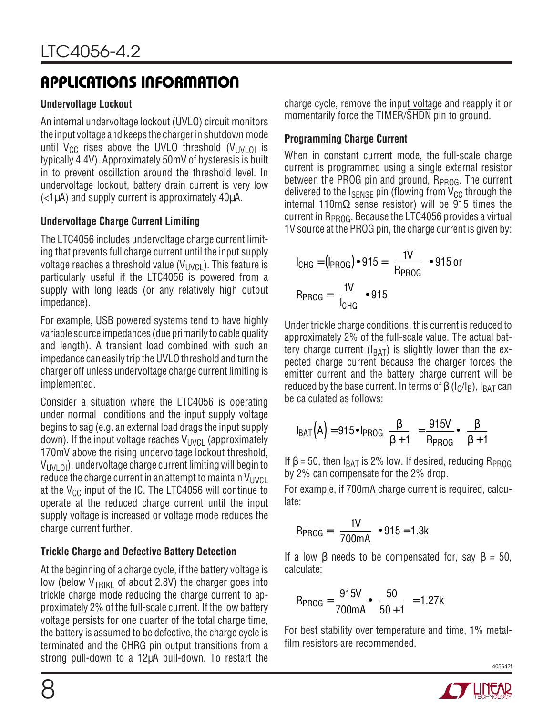#### **Undervoltage Lockout**

An internal undervoltage lockout (UVLO) circuit monitors the input voltage and keeps the charger in shutdown mode until V<sub>CC</sub> rises above the UVLO threshold (V<sub>UVLOI</sub> is typically 4.4V). Approximately 50mV of hysteresis is built in to prevent oscillation around the threshold level. In undervoltage lockout, battery drain current is very low (<1µA) and supply current is approximately 40µA.

#### **Undervoltage Charge Current Limiting**

The LTC4056 includes undervoltage charge current limiting that prevents full charge current until the input supply voltage reaches a threshold value  $(V_{\text{UVCL}})$ . This feature is particularly useful if the LTC4056 is powered from a supply with long leads (or any relatively high output impedance).

For example, USB powered systems tend to have highly variable source impedances (due primarily to cable quality and length). A transient load combined with such an impedance can easily trip the UVLO threshold and turn the charger off unless undervoltage charge current limiting is implemented.

Consider a situation where the LTC4056 is operating under normal conditions and the input supply voltage begins to sag (e.g. an external load drags the input supply down). If the input voltage reaches  $V_{\text{UVCI}}$  (approximately 170mV above the rising undervoltage lockout threshold,  $V_{UVLOI}$  oi), undervoltage charge current limiting will begin to reduce the charge current in an attempt to maintain  $V_{UVCL}$ at the  $V_{CC}$  input of the IC. The LTC4056 will continue to operate at the reduced charge current until the input supply voltage is increased or voltage mode reduces the charge current further.

### **Trickle Charge and Defective Battery Detection**

At the beginning of a charge cycle, if the battery voltage is low (below  $V_{TRIKI}$  of about 2.8V) the charger goes into trickle charge mode reducing the charge current to approximately 2% of the full-scale current. If the low battery voltage persists for one quarter of the total charge time, the battery is assumed to be defective, the charge cycle is terminated and the CHRG pin output transitions from a strong pull-down to a 12µA pull-down. To restart the

charge cycle, remove the input voltage and reapply it or momentarily force the TIMER/SHDN pin to ground.

### **Programming Charge Current**

When in constant current mode, the full-scale charge current is programmed using a single external resistor between the PROG pin and ground,  $R_{PROG}$ . The current delivered to the  $I_{SENSE}$  pin (flowing from  $V_{CC}$  through the internal 110mΩ sense resistor) will be 915 times the current in  $R_{PROG}$ . Because the LTC4056 provides a virtual 1V source at the PROG pin, the charge current is given by:

$$
I_{CHG} = (I_{PROG}) \cdot 915 = \left(\frac{1V}{R_{PROG}}\right) \cdot 915 \text{ or}
$$

$$
R_{PROG} = \left(\frac{1V}{I_{CHG}}\right) \cdot 915
$$

Under trickle charge conditions, this current is reduced to approximately 2% of the full-scale value. The actual battery charge current ( $I_{BAT}$ ) is slightly lower than the expected charge current because the charger forces the emitter current and the battery charge current will be reduced by the base current. In terms of  $\beta$  (I<sub>C</sub>/I<sub>B</sub>), I<sub>BAT</sub> can be calculated as follows:

$$
I_{BAT}(A) = 915 \cdot I_{PROG}\left(\frac{\beta}{\beta + 1}\right) = \frac{915V}{R_{PROG}} \cdot \left(\frac{\beta}{\beta + 1}\right)
$$

If  $\beta$  = 50, then  $I_{BAT}$  is 2% low. If desired, reducing  $R_{PROG}$ by 2% can compensate for the 2% drop.

For example, if 700mA charge current is required, calculate:

$$
R_{PROG} = \left(\frac{1V}{700mA}\right) \cdot 915 = 1.3k
$$

If a low  $\beta$  needs to be compensated for, say  $\beta = 50$ , calculate:

$$
R_{PROG} = \frac{915V}{700mA} \cdot \left(\frac{50}{50+1}\right) = 1.27k
$$

For best stability over temperature and time, 1% metalfilm resistors are recommended.

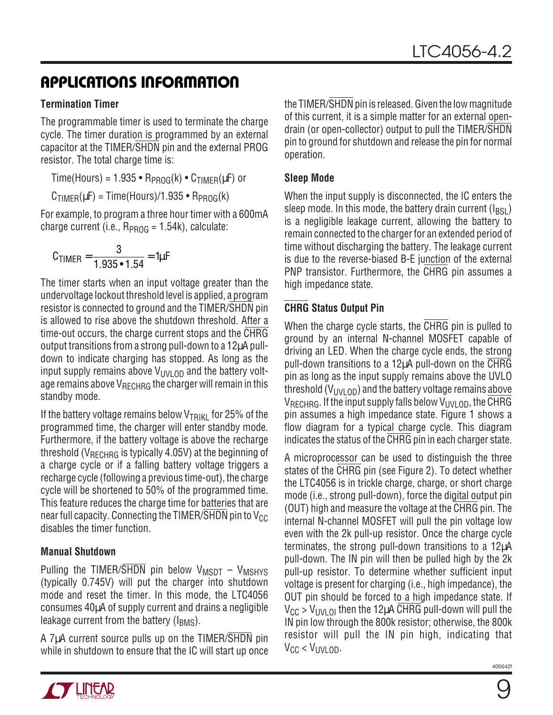#### **Termination Timer**

The programmable timer is used to terminate the charge cycle. The timer duration is programmed by an external capacitor at the TIMER/SHDN pin and the external PROG resistor. The total charge time is:

Time(Hours) =  $1.935 \cdot R_{PROG}(k) \cdot C_{TIMER}(\mu F)$  or

 $C_{\text{TIMFR}}(\mu) = \text{Time}(\text{Hours})/1.935 \cdot \text{R}_{\text{PROG}}(k)$ 

For example, to program a three hour timer with a 600mA charge current (i.e.,  $R_{PROG} = 1.54k$ ), calculate:

$$
C_{\text{TIMER}} = \frac{3}{1.935 \cdot 1.54} = 1 \mu F
$$

The timer starts when an input voltage greater than the undervoltage lockout threshold level is applied, a program resistor is connected to ground and the TIMER/SHDN pin is allowed to rise above the shutdown threshold. After a time-out occurs, the charge current stops and the CHRG output transitions from a strong pull-down to a 12µA pulldown to indicate charging has stopped. As long as the input supply remains above  $V_{UVLOD}$  and the battery voltage remains above VRECHRG the charger will remain in this standby mode.

If the battery voltage remains below  $V_{TRIKI}$  for 25% of the programmed time, the charger will enter standby mode. Furthermore, if the battery voltage is above the recharge threshold ( $V_{\text{RFCHRG}}$  is typically 4.05V) at the beginning of a charge cycle or if a falling battery voltage triggers a recharge cycle (following a previous time-out), the charge cycle will be shortened to 50% of the programmed time. This feature reduces the charge time for batteries that are near full capacity. Connecting the TIMER/SHDN pin to  $V_{CC}$ disables the timer function.

#### **Manual Shutdown**

Pulling the TIMER/ $\overline{\text{SHDN}}$  pin below  $V_{\text{MSDT}} - V_{\text{MSHYS}}$ (typically 0.745V) will put the charger into shutdown mode and reset the timer. In this mode, the LTC4056 consumes 40µA of supply current and drains a negligible leakage current from the battery ( $I_{BMS}$ ).

A 7µA current source pulls up on the TIMER/SHDN pin while in shutdown to ensure that the IC will start up once the TIMER/SHDN pin is released. Given the low magnitude of this current, it is a simple matter for an external opendrain (or open-collector) output to pull the TIMER/SHDN pin to ground for shutdown and release the pin for normal operation.

#### **Sleep Mode**

When the input supply is disconnected, the IC enters the sleep mode. In this mode, the battery drain current  $(I_{BSL})$ is a negligible leakage current, allowing the battery to remain connected to the charger for an extended period of time without discharging the battery. The leakage current is due to the reverse-biased B-E junction of the external PNP transistor. Furthermore, the CHRG pin assumes a high impedance state.

### **CHRG Status Output Pin**

When the charge cycle starts, the CHRG pin is pulled to ground by an internal N-channel MOSFET capable of driving an LED. When the charge cycle ends, the strong pull-down transitions to a 12µA pull-down on the CHRG pin as long as the input supply remains above the UVLO threshold ( $V_{UVLOD}$ ) and the battery voltage remains above  $V_{RFCHRG}$ . If the input supply falls below  $V_{UVI}$  op, the CHRG pin assumes a high impedance state. Figure 1 shows a flow diagram for a typical charge cycle. This diagram indicates the status of the CHRG pin in each charger state.

A microprocessor can be used to distinguish the three states of the CHRG pin (see Figure 2). To detect whether the LTC4056 is in trickle charge, charge, or short charge mode (i.e., strong pull-down), force the digital output pin (OUT) high and measure the voltage at the CHRG pin. The internal N-channel MOSFET will pull the pin voltage low even with the 2k pull-up resistor. Once the charge cycle terminates, the strong pull-down transitions to a 12µA pull-down. The IN pin will then be pulled high by the 2k pull-up resistor. To determine whether sufficient input voltage is present for charging (i.e., high impedance), the OUT pin should be forced to a high impedance state. If  $V_{CC}$  >  $V_{UVLO}$  then the 12µA CHRG pull-down will pull the IN pin low through the 800k resistor; otherwise, the 800k resistor will pull the IN pin high, indicating that  $V_{CC}$  <  $V_{UVU}$  op.

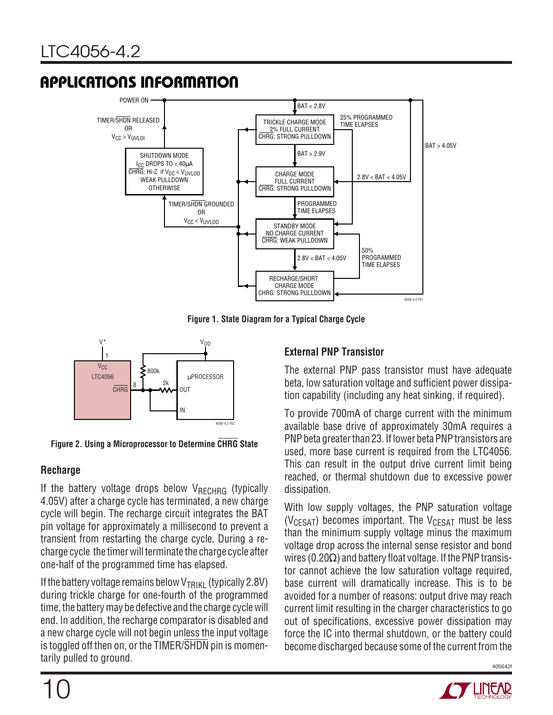

**Figure 1. State Diagram for a Typical Charge Cycle**





#### **Recharge**

If the battery voltage drops below  $V_{RECHRG}$  (typically 4.05V) after a charge cycle has terminated, a new charge cycle will begin. The recharge circuit integrates the BAT pin voltage for approximately a millisecond to prevent a transient from restarting the charge cycle. During a recharge cycle the timer will terminate the charge cycle after one-half of the programmed time has elapsed.

If the battery voltage remains below  $V_{\text{TRI}|\text{KI}}$  (typically 2.8V) during trickle charge for one-fourth of the programmed time, the battery may be defective and the charge cycle will end. In addition, the recharge comparator is disabled and a new charge cycle will not begin unless the input voltage is toggled off then on, or the TIMER/SHDN pin is momentarily pulled to ground.

#### **External PNP Transistor**

The external PNP pass transistor must have adequate beta, low saturation voltage and sufficient power dissipation capability (including any heat sinking, if required).

To provide 700mA of charge current with the minimum available base drive of approximately 30mA requires a PNP beta greater than 23. If lower beta PNP transistors are used, more base current is required from the LTC4056. This can result in the output drive current limit being reached, or thermal shutdown due to excessive power dissipation.

With low supply voltages, the PNP saturation voltage ( $V_{CFSAT}$ ) becomes important. The  $V_{CFSAT}$  must be less than the minimum supply voltage minus the maximum voltage drop across the internal sense resistor and bond wires (0.20 $\Omega$ ) and battery float voltage. If the PNP transistor cannot achieve the low saturation voltage required, base current will dramatically increase. This is to be avoided for a number of reasons: output drive may reach current limit resulting in the charger characteristics to go out of specifications, excessive power dissipation may force the IC into thermal shutdown, or the battery could become discharged because some of the current from the

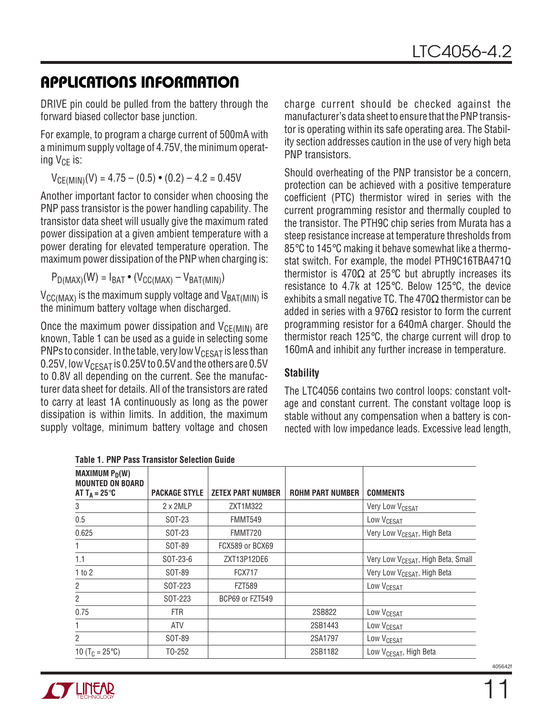DRIVE pin could be pulled from the battery through the forward biased collector base junction.

For example, to program a charge current of 500mA with a minimum supply voltage of 4.75V, the minimum operating  $V_{CF}$  is:

 $V_{CE(MIN)}(V) = 4.75 - (0.5) \cdot (0.2) - 4.2 = 0.45V$ 

Another important factor to consider when choosing the PNP pass transistor is the power handling capability. The transistor data sheet will usually give the maximum rated power dissipation at a given ambient temperature with a power derating for elevated temperature operation. The maximum power dissipation of the PNP when charging is:

 $P_{D(MAX)}(W) = I_{BAT} \bullet (V_{CG(MAX)} - V_{BAT(MIN)})$ 

 $V_{\text{CC}(MAX)}$  is the maximum supply voltage and  $V_{\text{BAT}(MIN)}$  is the minimum battery voltage when discharged.

Once the maximum power dissipation and  $V_{CE(MIN)}$  are known, Table 1 can be used as a guide in selecting some PNPs to consider. In the table, very low  $V_{CESAT}$  is less than 0.25V, low  $V_{CFSAT}$  is 0.25V to 0.5V and the others are 0.5V to 0.8V all depending on the current. See the manufacturer data sheet for details. All of the transistors are rated to carry at least 1A continuously as long as the power dissipation is within limits. In addition, the maximum supply voltage, minimum battery voltage and chosen charge current should be checked against the manufacturer's data sheet to ensure that the PNP transistor is operating within its safe operating area. The Stability section addresses caution in the use of very high beta PNP transistors.

Should overheating of the PNP transistor be a concern, protection can be achieved with a positive temperature coefficient (PTC) thermistor wired in series with the current programming resistor and thermally coupled to the transistor. The PTH9C chip series from Murata has a steep resistance increase at temperature thresholds from 85°C to 145°C making it behave somewhat like a thermostat switch. For example, the model PTH9C16TBA471Q thermistor is 470Ω at 25 $\degree$ C but abruptly increases its resistance to 4.7k at 125°C. Below 125°C, the device exhibits a small negative TC. The  $470\Omega$  thermistor can be added in series with a 976 $\Omega$  resistor to form the current programming resistor for a 640mA charger. Should the thermistor reach 125°C, the charge current will drop to 160mA and inhibit any further increase in temperature.

#### **Stability**

The LTC4056 contains two control loops: constant voltage and constant current. The constant voltage loop is stable without any compensation when a battery is connected with low impedance leads. Excessive lead length,

| TADIG T. FNL TASS HANSISLUI OGIGULIUN UUNUG                                       |                      |                          |                         |                                                |  |
|-----------------------------------------------------------------------------------|----------------------|--------------------------|-------------------------|------------------------------------------------|--|
| MAXIMUM $P_D(W)$<br><b>MOUNTED ON BOARD</b><br>AT T <sub>A</sub> = 25 $\degree$ C | <b>PACKAGE STYLE</b> | <b>ZETEX PART NUMBER</b> | <b>ROHM PART NUMBER</b> | <b>COMMENTS</b>                                |  |
| 3                                                                                 | $2 \times 2$ MLP     | ZXT1M322                 |                         | Very Low V <sub>CESAT</sub>                    |  |
| 0.5                                                                               | SOT-23               | FMMT549                  |                         | Low V <sub>CESAT</sub>                         |  |
| 0.625                                                                             | SOT-23               | FMMT720                  |                         | Very Low V <sub>CESAT</sub> , High Beta        |  |
| $\mathbf{1}$                                                                      | SOT-89               | FCX589 or BCX69          |                         |                                                |  |
| 1.1                                                                               | SOT-23-6             | ZXT13P12DE6              |                         | Very Low V <sub>CESAT</sub> , High Beta, Small |  |
| 1 to 2                                                                            | SOT-89               | <b>FCX717</b>            |                         | Very Low V <sub>CESAT</sub> , High Beta        |  |
| $\overline{c}$                                                                    | SOT-223              | <b>FZT589</b>            |                         | Low V <sub>CESAT</sub>                         |  |
| $\overline{2}$                                                                    | SOT-223              | BCP69 or FZT549          |                         |                                                |  |
| 0.75                                                                              | <b>FTR</b>           |                          | 2SB822                  | Low V <sub>CESAT</sub>                         |  |
|                                                                                   | ATV                  |                          | 2SB1443                 | Low V <sub>CESAT</sub>                         |  |
| 2                                                                                 | SOT-89               |                          | 2SA1797                 | Low V <sub>CESAT</sub>                         |  |
| 10 (T <sub>C</sub> = 25 $\textdegree$ C)                                          | T0-252               |                          | 2SB1182                 | Low V <sub>CESAT</sub> , High Beta             |  |



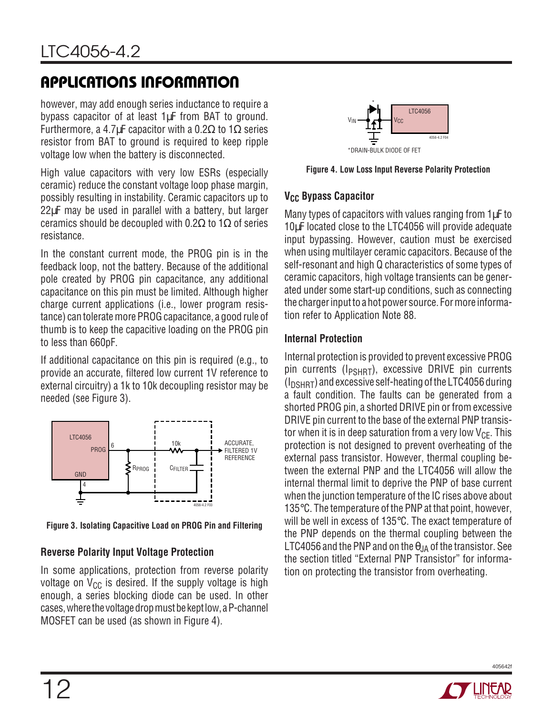however, may add enough series inductance to require a bypass capacitor of at least 1µF from BAT to ground. Furthermore, a 4.7µF capacitor with a 0.2 $\Omega$  to 1 $\Omega$  series resistor from BAT to ground is required to keep ripple voltage low when the battery is disconnected.

High value capacitors with very low ESRs (especially ceramic) reduce the constant voltage loop phase margin, possibly resulting in instability. Ceramic capacitors up to 22µF may be used in parallel with a battery, but larger ceramics should be decoupled with 0.2Ω to 1Ω of series resistance.

In the constant current mode, the PROG pin is in the feedback loop, not the battery. Because of the additional pole created by PROG pin capacitance, any additional capacitance on this pin must be limited. Although higher charge current applications (i.e., lower program resistance) can tolerate more PROG capacitance, a good rule of thumb is to keep the capacitive loading on the PROG pin to less than 660pF.

If additional capacitance on this pin is required (e.g., to provide an accurate, filtered low current 1V reference to external circuitry) a 1k to 10k decoupling resistor may be needed (see Figure 3).



**Figure 3. Isolating Capacitive Load on PROG Pin and Filtering**

#### **Reverse Polarity Input Voltage Protection**

In some applications, protection from reverse polarity voltage on  $V_{CC}$  is desired. If the supply voltage is high enough, a series blocking diode can be used. In other cases, where the voltage drop must be kept low, a P-channel MOSFET can be used (as shown in Figure 4).



**Figure 4. Low Loss Input Reverse Polarity Protection**

#### **V<sub>CC</sub> Bypass Capacitor**

Many types of capacitors with values ranging from  $1\mu$ F to 10µF located close to the LTC4056 will provide adequate input bypassing. However, caution must be exercised when using multilayer ceramic capacitors. Because of the self-resonant and high Q characteristics of some types of ceramic capacitors, high voltage transients can be generated under some start-up conditions, such as connecting the charger input to a hot power source. For more information refer to Application Note 88.

#### **Internal Protection**

Internal protection is provided to prevent excessive PROG pin currents ( $I_{PSHRT}$ ), excessive DRIVE pin currents  $(I_{DSHRT})$  and excessive self-heating of the LTC4056 during a fault condition. The faults can be generated from a shorted PROG pin, a shorted DRIVE pin or from excessive DRIVE pin current to the base of the external PNP transistor when it is in deep saturation from a very low  $V_{CF}$ . This protection is not designed to prevent overheating of the external pass transistor. However, thermal coupling between the external PNP and the LTC4056 will allow the internal thermal limit to deprive the PNP of base current when the junction temperature of the IC rises above about 135°C. The temperature of the PNP at that point, however, will be well in excess of 135°C. The exact temperature of the PNP depends on the thermal coupling between the LTC4056 and the PNP and on the  $\theta_{JA}$  of the transistor. See the section titled "External PNP Transistor" for information on protecting the transistor from overheating.

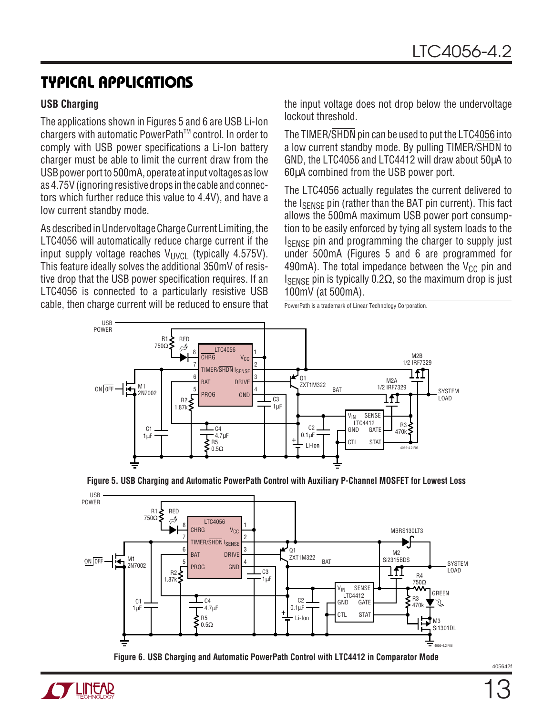# **TYPICAL APPLICATIONS**

#### **USB Charging**

The applications shown in Figures 5 and 6 are USB Li-Ion chargers with automatic PowerPath<sup>™</sup> control. In order to comply with USB power specifications a Li-Ion battery charger must be able to limit the current draw from the USB power port to 500mA, operate at input voltages as low as 4.75V (ignoring resistive drops in the cable and connectors which further reduce this value to 4.4V), and have a low current standby mode.

As described in Undervoltage Charge Current Limiting, the LTC4056 will automatically reduce charge current if the input supply voltage reaches  $V_{\text{UVCI}}$  (typically 4.575V). This feature ideally solves the additional 350mV of resistive drop that the USB power specification requires. If an LTC4056 is connected to a particularly resistive USB cable, then charge current will be reduced to ensure that the input voltage does not drop below the undervoltage lockout threshold.

The TIMER/SHDN pin can be used to put the LTC4056 into a low current standby mode. By pulling TIMER/SHDN to GND, the LTC4056 and LTC4412 will draw about 50µA to 60µA combined from the USB power port.

The LTC4056 actually regulates the current delivered to the I<sub>SFNSF</sub> pin (rather than the BAT pin current). This fact allows the 500mA maximum USB power port consumption to be easily enforced by tying all system loads to the ISENSE pin and programming the charger to supply just under 500mA (Figures 5 and 6 are programmed for 490mA). The total impedance between the  $V_{CC}$  pin and I<sub>SENSE</sub> pin is typically 0.2Ω, so the maximum drop is just 100mV (at 500mA).

PowerPath is a trademark of Linear Technology Corporation.







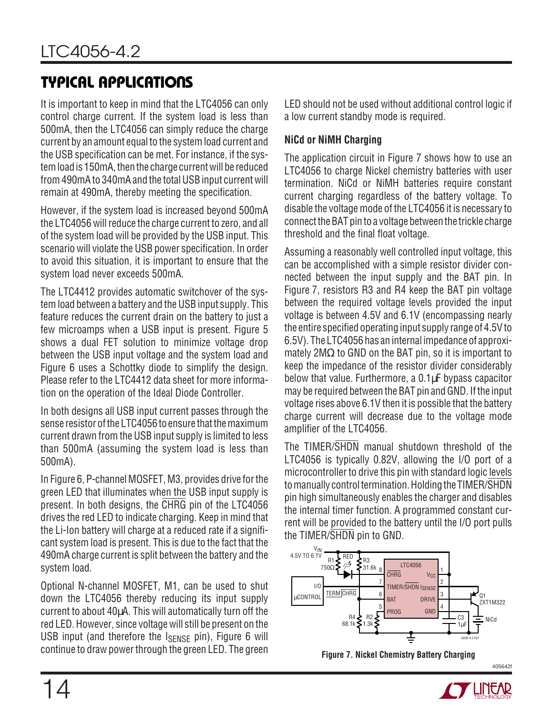# **TYPICAL APPLICATIONS**

It is important to keep in mind that the LTC4056 can only control charge current. If the system load is less than 500mA, then the LTC4056 can simply reduce the charge current by an amount equal to the system load current and the USB specification can be met. For instance, if the system load is 150mA, then the charge current will be reduced from 490mA to 340mA and the total USB input current will remain at 490mA, thereby meeting the specification.

However, if the system load is increased beyond 500mA the LTC4056 will reduce the charge current to zero, and all of the system load will be provided by the USB input. This scenario will violate the USB power specification. In order to avoid this situation, it is important to ensure that the system load never exceeds 500mA.

The LTC4412 provides automatic switchover of the system load between a battery and the USB input supply. This feature reduces the current drain on the battery to just a few microamps when a USB input is present. Figure 5 shows a dual FET solution to minimize voltage drop between the USB input voltage and the system load and Figure 6 uses a Schottky diode to simplify the design. Please refer to the LTC4412 data sheet for more information on the operation of the Ideal Diode Controller.

In both designs all USB input current passes through the sense resistor of the LTC4056 to ensure that the maximum current drawn from the USB input supply is limited to less than 500mA (assuming the system load is less than 500mA).

In Figure 6, P-channel MOSFET, M3, provides drive for the green LED that illuminates when the USB input supply is present. In both designs, the CHRG pin of the LTC4056 drives the red LED to indicate charging. Keep in mind that the Li-Ion battery will charge at a reduced rate if a significant system load is present. This is due to the fact that the 490mA charge current is split between the battery and the system load.

Optional N-channel MOSFET, M1, can be used to shut down the LTC4056 thereby reducing its input supply current to about 40µA. This will automatically turn off the red LED. However, since voltage will still be present on the USB input (and therefore the ISENSE pin), Figure 6 will continue to draw power through the green LED. The green

LED should not be used without additional control logic if a low current standby mode is required.

#### **NiCd or NiMH Charging**

The application circuit in Figure 7 shows how to use an LTC4056 to charge Nickel chemistry batteries with user termination. NiCd or NiMH batteries require constant current charging regardless of the battery voltage. To disable the voltage mode of the LTC4056 it is necessary to connect the BAT pin to a voltage between the trickle charge threshold and the final float voltage.

Assuming a reasonably well controlled input voltage, this can be accomplished with a simple resistor divider connected between the input supply and the BAT pin. In Figure 7, resistors R3 and R4 keep the BAT pin voltage between the required voltage levels provided the input voltage is between 4.5V and 6.1V (encompassing nearly the entire specified operating input supply range of 4.5V to 6.5V). The LTC4056 has an internal impedance of approximately 2MΩ to GND on the BAT pin, so it is important to keep the impedance of the resistor divider considerably below that value. Furthermore, a 0.1µF bypass capacitor may be required between the BAT pin and GND. If the input voltage rises above 6.1V then it is possible that the battery charge current will decrease due to the voltage mode amplifier of the LTC4056.

The TIMER/SHDN manual shutdown threshold of the LTC4056 is typically 0.82V, allowing the I/O port of a microcontroller to drive this pin with standard logic levels to manually control termination. Holding the TIMER/SHDN pin high simultaneously enables the charger and disables the internal timer function. A programmed constant current will be provided to the battery until the I/O port pulls the TIMER/SHDN pin to GND.





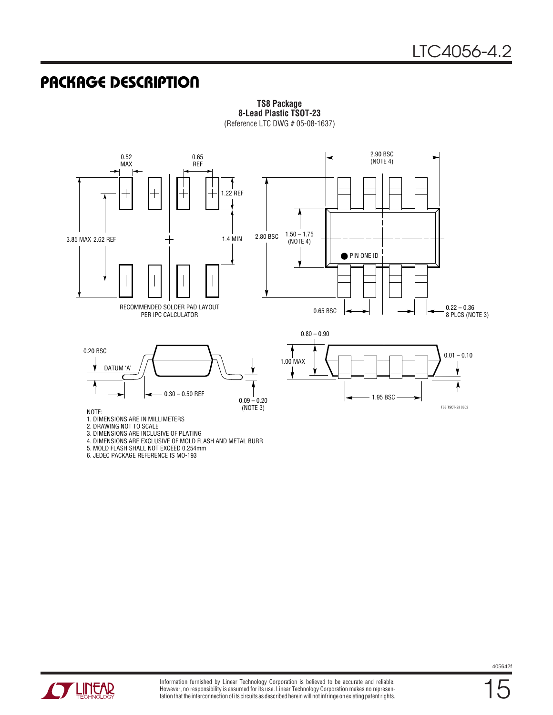## **PACKAGE DESCRIPTION**



**TS8 Package 8-Lead Plastic TSOT-23** (Reference LTC DWG # 05-08-1637)

3. DIMENSIONS ARE INCLUSIVE OF PLATING

4. DIMENSIONS ARE EXCLUSIVE OF MOLD FLASH AND METAL BURR

5. MOLD FLASH SHALL NOT EXCEED 0.254mm

6. JEDEC PACKAGE REFERENCE IS MO-193